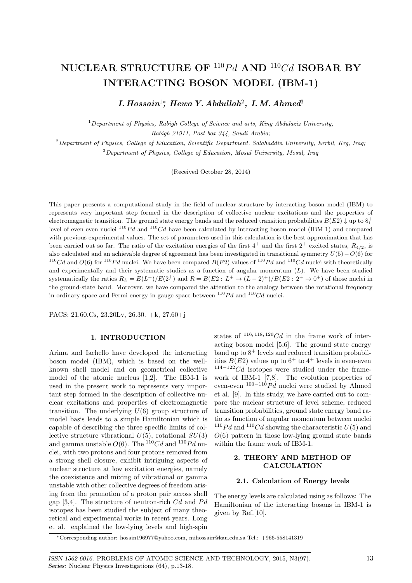# **NUCLEAR STRUCTURE OF** <sup>110</sup>*P d* **AND** <sup>110</sup>*Cd* **ISOBAR BY INTERACTING BOSON MODEL (IBM-1)**

*I. Hossain*<sup>1</sup>*<sup>∗</sup> , Hewa Y. Abdullah*<sup>2</sup> *, I.M. Ahmed*<sup>3</sup>

<sup>1</sup>*Department of Physics, Rabigh College of Science and arts, King Abdulaziz University, Rabigh 21911, Post box 344, Saudi Arabia;*

<sup>2</sup>*Department of Physics, College of Education, Scientific Department, Salahaddin University, Errbil, Krg, Iraq;* <sup>3</sup>*Department of Physics, College of Education, Mosul University, Mosul, Iraq*

(Received October 28, 2014)

This paper presents a computational study in the field of nuclear structure by interacting boson model (IBM) to represents very important step formed in the description of collective nuclear excitations and the properties of electromagnetic transition. The ground state energy bands and the reduced transition probabilities  $B(E2) \downarrow$  up to  $8^+_1$ level of even-even nuclei <sup>110</sup>Pd and <sup>110</sup>Cd have been calculated by interacting boson model (IBM-1) and compared with previous experimental values. The set of parameters used in this calculation is the best approximation that has been carried out so far. The ratio of the excitation energies of the first  $4^+$  and the first  $2^+$  excited states,  $R_{4/2}$ , is also calculated and an achievable degree of agreement has been investigated in transitional symmetry *U*(5)*−O*(6) for <sup>110</sup>Cd and  $O(6)$  for <sup>110</sup>Pd nuclei. We have been compared  $B(E2)$  values of <sup>110</sup>Pd and <sup>110</sup>Cd nuclei with theoretically and experimentally and their systematic studies as a function of angular momentum (*L*). We have been studied systematically the ratios  $R_L = E(L^+)/E(2_1^+)$  and  $R = B(E2: L^+ \to (L-2)^+)/B(E2: 2^+ \to 0^+)$  of those nuclei in the ground-state band. Moreover, we have compared the attention to the analogy between the rotational frequency in ordinary space and Fermi energy in gauge space between <sup>110</sup>*P d* and <sup>110</sup>*Cd* nuclei.

PACS: 21.60.Cs, 23.20Lv, 26.30. +k, 27.60+j

## **1. INTRODUCTION**

Arima and Iachello have developed the interacting boson model (IBM), which is based on the wellknown shell model and on geometrical collective model of the atomic nucleus [1,2]. The IBM-1 is used in the present work to represents very important step formed in the description of collective nuclear excitations and properties of electromagnetic transition. The underlying  $U(6)$  group structure of model basis leads to a simple Hamiltonian which is capable of describing the three specific limits of collective structure vibrational  $U(5)$ , rotational  $SU(3)$ and gamma unstable  $O(6)$ . The <sup>110</sup>Cd and <sup>110</sup>Pd nuclei, with two protons and four protons removed from a strong shell closure, exhibit intriguing aspects of nuclear structure at low excitation energies, namely the coexistence and mixing of vibrational or gamma unstable with other collective degrees of freedom arising from the promotion of a proton pair across shell gap [3,4]. The structure of neutron-rich *Cd* and *Pd* isotopes has been studied the subject of many theoretical and experimental works in recent years. Long et al. explained the low-lying levels and high-spin

states of  $116, 118, 120$  *Cd* in the frame work of interacting boson model [5,6]. The ground state energy band up to  $8^+$  levels and reduced transition probabilities  $B(E2)$  values up to  $6^+$  to  $4^+$  levels in even-even <sup>114</sup>*−*<sup>122</sup>*Cd* isotopes were studied under the framework of IBM-1 [7,8]. The evolution properties of even-even <sup>100</sup>*−*<sup>110</sup>*P d* nuclei were studied by Ahmed et al. [9]. In this study, we have carried out to compare the nuclear structure of level scheme, reduced transition probabilities, ground state energy band ratio as function of angular momentum between nuclei  $110Pd$  and  $110Cd$  showing the characteristic  $U(5)$  and *O*(6) pattern in those low-lying ground state bands within the frame work of IBM-1.

## **2. THEORY AND METHOD OF CALCULATION**

### **2.1. Calculation of Energy levels**

The energy levels are calculated using as follows: The Hamiltonian of the interacting bosons in IBM-1 is given by Ref.[10].

*<sup>∗</sup>*Corresponding author: hosain196977@yahoo.com, mihossain@kau.edu.sa Tel.: +966-558141319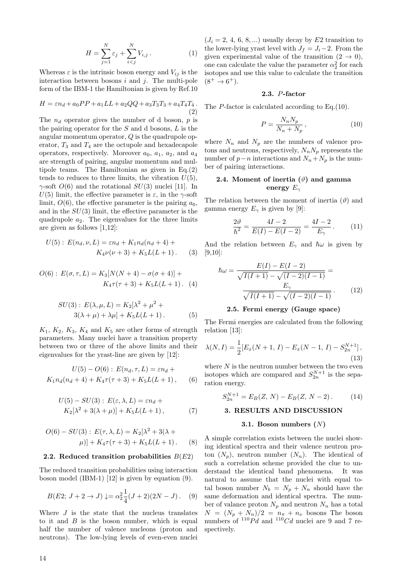$$
H = \sum_{j=1}^{N} \varepsilon_j + \sum_{i < j}^{N} V_{i,j} \,. \tag{1}
$$

Whereas  $\varepsilon$  is the intrinsic boson energy and  $V_{ij}$  is the interaction between bosons *i* and *j*. The multi-pole form of the IBM-1 the Hamiltonian is given by Ref.10

$$
H = \varepsilon n_d + a_0 PP + a_1 LL + a_2 QQ + a_3 T_3 T_3 + a_4 T_4 T_4.
$$
\n(2)

The *n<sup>d</sup>* operator gives the number of d boson, *p* is the pairing operator for the *S* and d bosons, *L* is the angular momentum operator, *Q* is the quadrupole operator,  $T_3$  and  $T_4$  are the octupole and hexadecapole operators, respectively. Moreover  $a_0$ ,  $a_1$ ,  $a_2$ , and  $a_4$ are strength of pairing, angular momentum and multipole teams. The Hamiltonian as given in Eq.(2) tends to reduces to three limits, the vibration  $U(5)$ , *γ*-soft *O*(6) and the rotational *SU*(3) nuclei [11]. In *U*(5) limit, the effective parameter is  $\varepsilon$ , in the *γ*-soft limit,  $O(6)$ , the effective parameter is the pairing  $a_0$ , and in the *SU*(3) limit, the effective parameter is the quadrupole  $a_2$ . The eigenvalues for the three limits are given as follows [1,12]:

$$
U(5): E(n_d, \nu, L) = \varepsilon n_d + K_1 n_d (n_d + 4) + K_4 \nu (\nu + 3) + K_5 L(L + 1).
$$
 (3)

$$
O(6): E(\sigma, \tau, L) = K_3[N(N+4) - \sigma(\sigma + 4)] + K_4 \tau(\tau + 3) + K_5 L(L+1). \tag{4}
$$

$$
SU(3): E(\lambda, \mu, L) = K_2[\lambda^2 + \mu^2 + 3(\lambda + \mu) + \lambda \mu] + K_5 L(L+1).
$$
 (5)

 $K_1$ ,  $K_2$ ,  $K_3$ ,  $K_4$  and  $K_5$  are other forms of strength parameters. Many nuclei have a transition property between two or three of the above limits and their eigenvalues for the yrast-line are given by [12]:

$$
U(5) - O(6): E(n_d, \tau, L) = \varepsilon n_d + K_1 n_d(n_d + 4) + K_4 \tau(\tau + 3) + K_5 L(L + 1), \qquad (6)
$$

$$
U(5) - SU(3): E(\varepsilon, \lambda, L) = \varepsilon n_d + K_2[\lambda^2 + 3(\lambda + \mu)] + K_5L(L+1),
$$
 (7)

$$
O(6) - SU(3): E(\tau, \lambda, L) = K_2[\lambda^2 + 3(\lambda + \mu)] + K_4 \tau(\tau + 3) + K_5 L(L+1).
$$
 (8)

#### **2.2. Reduced transition probabilities** *B*(*E*2)

The reduced transition probabilities using interaction boson model (IBM-1) [12] is given by equation (9).

$$
B(E2; J+2 \to J) \downarrow = \alpha_2^2 \frac{1}{4} (J+2)(2N-J). \quad (9)
$$

Where *J* is the state that the nucleus translates to it and *B* is the boson number, which is equal half the number of valence nucleons (proton and neutrons). The low-lying levels of even-even nuclei  $(J_i = 2, 4, 6, 8, \ldots)$  usually decay by  $E2$  transition to the lower-lying yrast level with  $J_f = J_i - 2$ . From the given experimental value of the transition  $(2 \rightarrow 0)$ , one can calculate the value the parameter  $\alpha_2^2$  for each isotopes and use this value to calculate the transition  $(8^+ \to 6^+).$ 

#### **2.3.** *P***-factor**

The *P*-factor is calculated according to Eq. (10).

$$
P = \frac{N_n N_p}{N_n + N_p},\tag{10}
$$

where  $N_n$  and  $N_p$  are the numbers of valence protons and neutrons, respectively,  $N_n N_p$  represents the number of  $p − n$  interactions and  $N_n + N_p$  is the number of pairing interactions.

## **2.4.** Moment of inertia  $(\vartheta)$  and gamma **energy** *E<sup>γ</sup>*

The relation between the moment of inertia  $(\vartheta)$  and gamma energy  $E_\gamma$  is given by [9]:

$$
\frac{2\vartheta}{\hbar^2} = \frac{4I - 2}{E(I) - E(I - 2)} = \frac{4I - 2}{E_\gamma}.
$$
 (11)

And the relation between  $E_\gamma$  and  $\hbar\omega$  is given by [9,10]:

$$
\hbar\omega = \frac{E(I) - E(I - 2)}{\sqrt{I(I + 1)} - \sqrt{(I - 2)(I - 1)}} =
$$
\n
$$
\frac{E_{\gamma}}{\sqrt{I(I + 1)} - \sqrt{(I - 2)(I - 1)}}.
$$
\n(12)

#### **2.5. Fermi energy (Gauge space)**

The Fermi energies are calculated from the following relation [13]:

$$
\lambda(N,I) = \frac{1}{2} [E_x(N+1, I) - E_x(N-1, I) - S_{2n}^{N+1}],
$$
\n(13)

where  $N$  is the neutron number between the two even isotopes which are compared and  $S_{2n}^{N+1}$  is the separation energy.

$$
S_{2n}^{N+1} = E_B(Z, N) - E_B(Z, N-2). \tag{14}
$$

## **3. RESULTS AND DISCUSSION**

#### **3.1. Boson numbers (***N***)**

A simple correlation exists between the nuclei showing identical spectra and their valence neutron proton  $(N_p)$ , neutron number  $(N_p)$ . The identical of such a correlation scheme provided the clue to understand the identical band phenomena. It was natural to assume that the nuclei with equal total boson number  $N_b = N_p + N_n$  should have the same deformation and identical spectra. The number of valance proton  $N_p$  and neutron  $N_p$  has a total  $N = (N_p + N_n)/2 = n_\pi + n_\nu$  bosons The boson numbers of  $^{110}Pd$  and  $^{110}Cd$  nuclei are 9 and 7 respectively.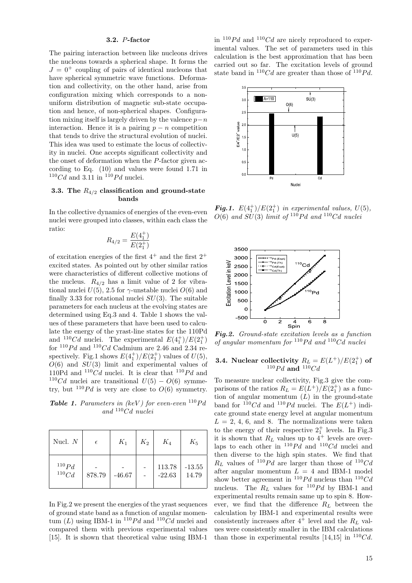#### **3.2.** *P***-factor**

The pairing interaction between like nucleons drives the nucleons towards a spherical shape. It forms the  $J = 0^+$  coupling of pairs of identical nucleons that have spherical symmetric wave functions. Deformation and collectivity, on the other hand, arise from configuration mixing which corresponds to a nonuniform distribution of magnetic sub-state occupation and hence, of non-spherical shapes. Configuration mixing itself is largely driven by the valence *p−n* interaction. Hence it is a pairing  $p - n$  competition that tends to drive the structural evolution of nuclei. This idea was used to estimate the locus of collectivity in nuclei. One accepts significant collectivity and the onset of deformation when the *P*-factor given according to Eq. (10) and values were found 1*.*71 in  $110Cd$  and 3.11 in  $110Pd$  nuclei.

## **3.3. The** *R*4*/*<sup>2</sup> **classification and ground-state bands**

In the collective dynamics of energies of the even-even nuclei were grouped into classes, within each class the ratio:

$$
R_{4/2} = \frac{E(4_1^+)}{E(2_1^+)}
$$

of excitation energies of the first  $4^+$  and the first  $2^+$ excited states. As pointed out by other similar ratios were characteristics of different collective motions of the nucleus.  $R_{4/2}$  has a limit value of 2 for vibrational nuclei  $U(5)$ , 2.5 for  $\gamma$ -unstable nuclei  $O(6)$  and finally 3*.*33 for rotational nuclei *SU*(3). The suitable parameters for each nucleus at the evolving states are determined using Eq.3 and 4. Table 1 shows the values of these parameters that have been used to calculate the energy of the yrast-line states for the 110Pd and <sup>110</sup>Cd nuclei. The experimental  $E(4_1^+)/E(2_1^+)$ for  $110Pd$  and  $110Cd$  Cadmium are 2.46 and 2.34 respectively. Fig.1 shows  $E(4_1^+)/E(2_1^+)$  values of  $U(5)$ , *O*(6) and *SU*(3) limit and experimental values of 110Pd and  $1^{10}Cd$  nuclei. It is clear that  $1^{10}Pd$  and <sup>110</sup>Cd nuclei are transitional  $U(5) - O(6)$  symmetry, but  $110Pd$  is very are close to  $O(6)$  symmetry.

*Table 1. Parameters in (keV ) for even-even* <sup>110</sup>*P d and* <sup>110</sup>*Cd nuclei*

| Nucl. $N$              | $\epsilon$ | $K_1$    | $K_2$ | $K_4$              | $K_5$             |
|------------------------|------------|----------|-------|--------------------|-------------------|
| $^{110}Pd \over 110Cd$ | 878.79     | $-46.67$ |       | 113.78<br>$-22.63$ | $-13.55$<br>14.79 |

In Fig.2 we present the energies of the yrast sequences of ground state band as a function of angular momentum  $(L)$  using IBM-1 in <sup>110</sup>Pd and <sup>110</sup>Cd nuclei and compared them with previous experimental values [15]. It is shown that theoretical value using IBM-1

in  $110Pd$  and  $110Cd$  are nicely reproduced to experimental values. The set of parameters used in this calculation is the best approximation that has been carried out so far. The excitation levels of ground state band in  $110Cd$  are greater than those of  $110Pd$ .



*Fig.1.*  $E(4_1^+)/E(2_1^+)$  *in experimental values,*  $U(5)$ *,*  $O(6)$  *and*  $SU(3)$  *limit of*  $^{110}Pd$  *and*  $^{110}Cd$  *nuclei* 



*Fig.2. Ground-state excitation levels as a function of angular momentum for* <sup>110</sup>*P d and* <sup>110</sup>*Cd nuclei*

## **3.4.** Nuclear collectivity  $R_L = E(L^+)/E(2_1^+)$  of  $110Pd$  and  $110Cd$

To measure nuclear collectivity, Fig.3 give the comparisons of the ratios  $R_L = E(L^+)/E(2_1^+)$  as a function of angular momentum (*L*) in the ground-state band for  $^{110}Cd$  and  $^{110}Pd$  nuclei. The  $E(L^+)$  indicate ground state energy level at angular momentum  $L = 2, 4, 6,$  and 8. The normalizations were taken to the energy of their respective  $2^+_1$  levels. In Fig.3 it is shown that  $R_L$  values up to  $4^+$  levels are overlaps to each other in  $^{110}Pd$  and  $^{110}Cd$  nuclei and then diverse to the high spin states. We find that  $R_L$  values of <sup>110</sup>Pd are larger than those of <sup>110</sup>Cd after angular momentum  $L = 4$  and IBM-1 model show better agreement in  $^{110}Pd$  nucleus than  $^{110}Cd$ nucleus. The  $R_L$  values for <sup>110</sup>Pd by IBM-1 and experimental results remain same up to spin 8. However, we find that the difference  $R_L$  between the calculation by IBM-1 and experimental results were consistently increases after  $4^+$  level and the  $R_L$  values were consistently smaller in the IBM calculations than those in experimental results  $[14,15]$  in  $110Cd$ .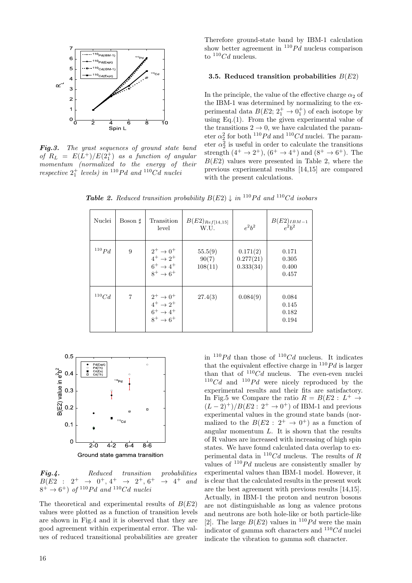

*Fig.3. The yrast sequences of ground state band*  $of$   $R_L$  =  $E(L^+)/E(2_1^+)$  *as a function of angular momentum (normalized to the energy of their*  $r$ *espective*  $2^+_1$  *levels)* in <sup>110</sup>*Pd* and <sup>110</sup>*Cd nuclei* 

Therefore ground-state band by IBM-1 calculation show better agreement in  $110Pd$  nucleus comparison to <sup>110</sup>*Cd* nucleus.

#### **3.5. Reduced transition probabilities** *B*(*E*2)

In the principle, the value of the effective charge  $\alpha_2$  of the IBM-1 was determined by normalizing to the experimental data  $B(E2; 2_1^+ \rightarrow 0_1^+)$  of each isotope by using Eq. $(1)$ . From the given experimental value of the transitions  $2 \rightarrow 0$ , we have calculated the parameter  $\alpha_2^2$  for both <sup>110</sup>*Pd* and <sup>110</sup>*Cd* nuclei. The parameter  $\alpha_2^2$  is useful in order to calculate the transitions strength  $(4^+ \rightarrow 2^+), (6^+ \rightarrow 4^+)$  and  $(8^+ \rightarrow 6^+).$  The  $B(E2)$  values were presented in Table 2, where the previous experimental results [14,15] are compared with the present calculations.

*Table 2. Reduced transition probability*  $B(E2) \downarrow in$  <sup>110</sup>*Pd* and <sup>110</sup>*Cd isobars* 

| Nuclei     | Boson $\sharp$ | Transition<br>level                                                                                         | $B(E2)_{Ref[14,15]}$<br>W.U. | $e^2b^2$                           | $B(E2)_{IBM-1}$<br>$e^2h^2$      |
|------------|----------------|-------------------------------------------------------------------------------------------------------------|------------------------------|------------------------------------|----------------------------------|
| $^{110}Pd$ | 9              | $2^+ \to 0^+$<br>$4^+ \to 2^+$<br>$\begin{array}{c} 6^+ \rightarrow 4^+ \\ 8^+ \rightarrow 6^+ \end{array}$ | 55.5(9)<br>90(7)<br>108(11)  | 0.171(2)<br>0.277(21)<br>0.333(34) | 0.171<br>0.305<br>0.400<br>0.457 |
| 110Cd      | 7              | $2^+ \to 0^+$<br>$4^+ \to 2^+$<br>$6^+ \rightarrow 4^+$<br>$8^+ \rightarrow 6^+$                            | 27.4(3)                      | 0.084(9)                           | 0.084<br>0.145<br>0.182<br>0.194 |



*Fig.4. Reduced transition probabilities*  $B(E2 : 2^+ \rightarrow 0^+, 4^+ \rightarrow 2^+, 6$  $^+$   $\rightarrow$  4<sup>+</sup> and  $8^+ \rightarrow 6^+$ ) *of*  $^{110}Pd$  *and*  $^{110}Cd$  *nuclei* 

The theoretical and experimental results of *B*(*E*2) values were plotted as a function of transition levels are shown in Fig.4 and it is observed that they are good agreement within experimental error. The values of reduced transitional probabilities are greater in  $110Pd$  than those of  $110Cd$  nucleus. It indicates that the equivalent effective charge in  $^{110}Pd$  is larger than that of  $110Cd$  nucleus. The even-even nuclei  $110Cd$  and  $110Pd$  were nicely reproduced by the experimental results and their fits are satisfactory. In Fig.5 we Compare the ratio  $R = B(E2 : L^+ \rightarrow$ (*<sup>L</sup> <sup>−</sup>* 2)<sup>+</sup>)*/B*(*E*2 : 2<sup>+</sup> *<sup>→</sup>* <sup>0</sup> <sup>+</sup>) of IBM-1 and previous experimental values in the ground state bands (normalized to the  $B(E2 : 2^+ \rightarrow 0^+)$  as a function of angular momentum *L*. It is shown that the results of R values are increased with increasing of high spin states. We have found calculated data overlap to experimental data in <sup>110</sup>*Cd* nucleus. The results of *R* values of  $110Pd$  nucleus are consistently smaller by experimental values than IBM-1 model. However, it is clear that the calculated results in the present work are the best agreement with previous results [14,15]. Actually, in IBM-1 the proton and neutron bosons are not distinguishable as long as valence protons and neutrons are both hole-like or both particle-like [2]. The large  $B(E2)$  values in <sup>110</sup>Pd were the main indicator of gamma soft characters and <sup>110</sup>*Cd* nuclei indicate the vibration to gamma soft character.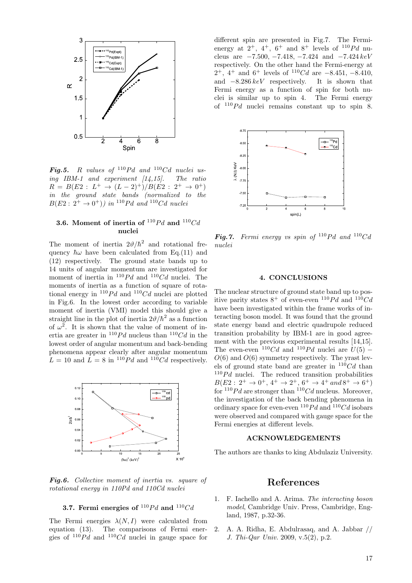

*Fig.5. R values* of  $^{110}Pd$  *and*  $^{110}Cd$  *nuclei using IBM-1 and experiment [14,15]. The ratio*  $R = B(E2 : L^+ \rightarrow (L-2)^+) / B(E2 : 2^+ \rightarrow 0^+)$ *in the ground state bands (normalized to the*  $B(E2: 2^+ \rightarrow 0^+))$  *in* <sup>110</sup>*Pd and* <sup>110</sup>*Cd nuclei* 

## **3.6.** Moment of inertia of  $^{110}Pd$  and  $^{110}Cd$ **nuclei**

The moment of inertia  $2\vartheta/\hbar^2$  and rotational frequency  $\hbar\omega$  have been calculated from Eq.(11) and (12) respectively. The ground state bands up to 14 units of angular momentum are investigated for moment of inertia in  $^{110}Pd$  and  $^{110}Cd$  nuclei. The moments of inertia as a function of square of rotational energy in  $110Pd$  and  $110Cd$  nuclei are plotted in Fig.6. In the lowest order according to variable moment of inertia (VMI) model this should give a straight line in the plot of inertia  $2\vartheta/\hbar^2$  as a function of  $\omega^2$ . It is shown that the value of moment of inertia are greater in  $^{110}Pd$  nucleus than  $^{110}Cd$  in the lowest order of angular momentum and back-bending phenomena appear clearly after angular momentum  $L = 10$  and  $L = 8$  in  $^{110}Pd$  and  $^{110}Cd$  respectively.



*Fig.6. Collective moment of inertia vs. square of rotational energy in 110Pd and 110Cd nuclei*

### **3.7.** Fermi energies of  $^{110}Pd$  and  $^{110}Cd$

The Fermi energies  $\lambda(N, I)$  were calculated from equation (13). The comparisons of Fermi energies of  $110Pd$  and  $110Cd$  nuclei in gauge space for different spin are presented in Fig.7. The Fermienergy at  $2^+$ ,  $4^+$ ,  $6^+$  and  $8^+$  levels of  $1^{10}Pd$  nucleus are *−*7*.*500*, −*7*.*418*, −*7*.*424 and *−*7*.*424 *keV* respectively. On the other hand the Fermi-energy at 2 <sup>+</sup>, 4<sup>+</sup> and 6<sup>+</sup> levels of <sup>110</sup>*Cd* are *<sup>−</sup>*8*.*451*, <sup>−</sup>*8*.*410, and *−*8*.*286 *keV* respectively. It is shown that Fermi energy as a function of spin for both nuclei is similar up to spin 4. The Fermi energy of  $110Pd$  nuclei remains constant up to spin 8.



*Fig.7.* Fermi energy vs spin of  $^{110}Pd$  and  $^{110}Cd$ *nuclei*

#### **4. CONCLUSIONS**

The nuclear structure of ground state band up to positive parity states  $8^+$  of even-even  $^{110}Pd$  and  $^{110}Cd$ have been investigated within the frame works of interacting boson model. It was found that the ground state energy band and electric quadrupole reduced transition probability by IBM-1 are in good agreement with the previous experimental results [14,15]. The even-even  $110Cd$  and  $110Pd$  nuclei are  $U(5)$  – *O*(6) and *O*(6) symmetry respectively. The yrast levels of ground state band are greater in <sup>110</sup>*Cd* than  $110Pd$  nuclei. The reduced transition probabilities  $B(E2: 2^+ \rightarrow 0^+, 4^+ \rightarrow 2^+, 6^+ \rightarrow 4^+ \text{ and } 8^+ \rightarrow 6^+)$ for  $110Pd$  are stronger than  $110Cd$  nucleus. Moreover, the investigation of the back bending phenomena in ordinary space for even-even  $^{110}Pd$  and  $^{110}Cd$  isobars were observed and compared with gauge space for the Fermi energies at different levels.

#### **ACKNOWLEDGEMENTS**

The authors are thanks to king Abdulaziz University.

## **References**

- 1. F. Iachello and A. Arima. *The interacting boson model*, Cambridge Univ. Press, Cambridge, England, 1987, p.32-36.
- 2. A. A. Ridha, E. Abdulrasaq, and A. Jabbar // *J. Thi-Qar Univ.* 2009, v.5(2), p.2.